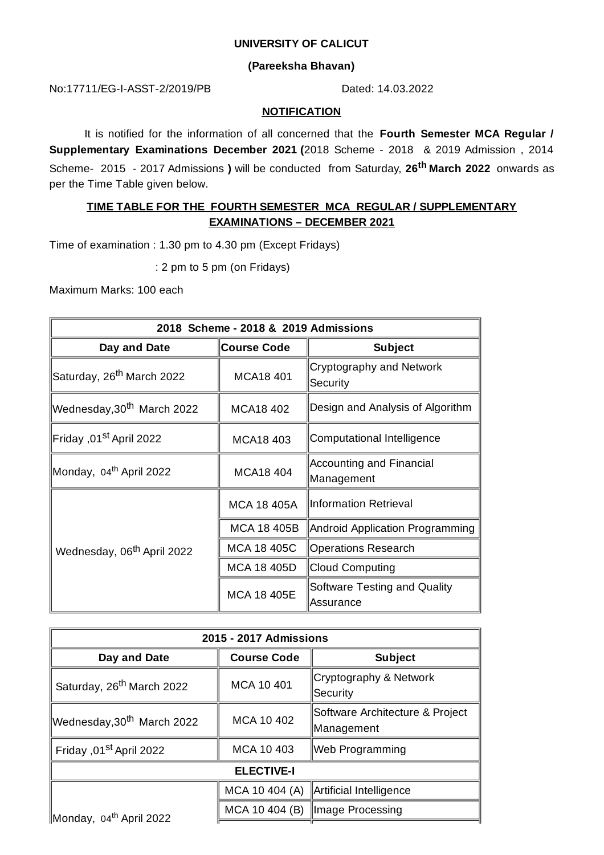### **UNIVERSITY OF CALICUT**

### **(Pareeksha Bhavan)**

No:17711/EG-I-ASST-2/2019/PB Dated: 14.03.2022

#### **NOTIFICATION**

It is notified for the information of all concerned that the **Fourth Semester MCA Regular / Supplementary Examinations December 2021 (**2018 Scheme - 2018 & 2019 Admission , 2014 Scheme- 2015 - 2017 Admissions **)** will be conducted from Saturday, **26 th March 2022** onwards as per the Time Table given below.

## **TIME TABLE FOR THE FOURTH SEMESTER MCA REGULAR / SUPPLEMENTARY EXAMINATIONS – DECEMBER 2021**

Time of examination : 1.30 pm to 4.30 pm (Except Fridays)

: 2 pm to 5 pm (on Fridays)

Maximum Marks: 100 each

| 2018 Scheme - 2018 & 2019 Admissions   |                    |                                            |  |  |
|----------------------------------------|--------------------|--------------------------------------------|--|--|
| Day and Date                           | <b>Course Code</b> | <b>Subject</b>                             |  |  |
| Saturday, 26 <sup>th</sup> March 2022  | MCA18 401          | Cryptography and Network<br>Security       |  |  |
| Wednesday,30 <sup>th</sup> March 2022  | MCA18 402          | Design and Analysis of Algorithm           |  |  |
| 2022 Friday ,01 <sup>st</sup> April∏   | MCA18 403          | Computational Intelligence                 |  |  |
| Monday, 04 <sup>th</sup> April 2022    | <b>MCA18 404</b>   | Accounting and Financial<br>Management     |  |  |
| Wednesday, 06 <sup>th</sup> April 2022 | <b>MCA 18 405A</b> | Information Retrieval                      |  |  |
|                                        | MCA 18 405B        | <b>Android Application Programming</b>     |  |  |
|                                        | <b>MCA 18 405C</b> | <b>Operations Research</b>                 |  |  |
|                                        | MCA 18 405D        | Cloud Computing                            |  |  |
|                                        | MCA 18 405E        | Software Testing and Quality<br>lAssurance |  |  |

| 2015 - 2017 Admissions                |                    |                                                |  |
|---------------------------------------|--------------------|------------------------------------------------|--|
| Day and Date                          | <b>Course Code</b> | <b>Subject</b>                                 |  |
| Saturday, 26 <sup>th</sup> March 2022 | MCA 10 401         | ∥Cryptography & Network<br>Security            |  |
| Wednesday,30 <sup>th</sup> March 2022 | MCA 10 402         | Software Architecture & Project<br>∥Management |  |
| Friday ,01st April 2022               | MCA 10 403         | Web Programming                                |  |
| <b>ELECTIVE-I</b>                     |                    |                                                |  |
| Monday, 04 <sup>th</sup> April 2022   |                    | MCA 10 404 (A) $\ $ Artificial Intelligence    |  |
|                                       |                    | MCA 10 404 (B)   Image Processing              |  |
|                                       |                    |                                                |  |